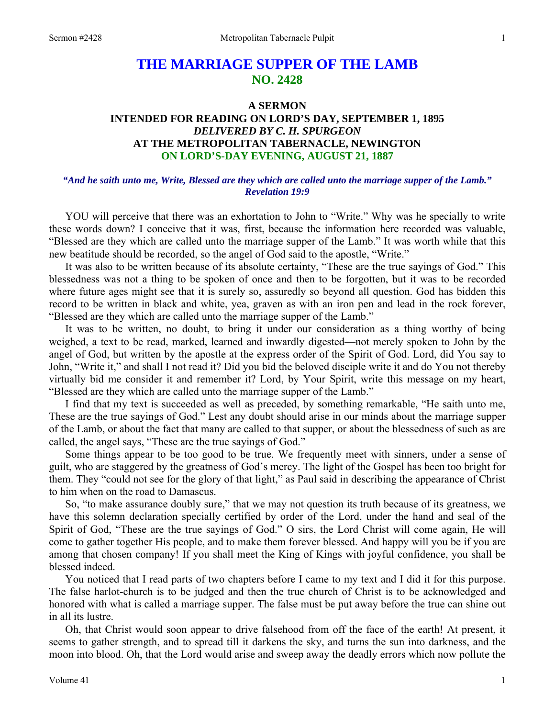# **THE MARRIAGE SUPPER OF THE LAMB NO. 2428**

## **A SERMON INTENDED FOR READING ON LORD'S DAY, SEPTEMBER 1, 1895**  *DELIVERED BY C. H. SPURGEON*  **AT THE METROPOLITAN TABERNACLE, NEWINGTON ON LORD'S-DAY EVENING, AUGUST 21, 1887**

## *"And he saith unto me, Write, Blessed are they which are called unto the marriage supper of the Lamb." Revelation 19:9*

YOU will perceive that there was an exhortation to John to "Write." Why was he specially to write these words down? I conceive that it was, first, because the information here recorded was valuable, "Blessed are they which are called unto the marriage supper of the Lamb." It was worth while that this new beatitude should be recorded, so the angel of God said to the apostle, "Write."

It was also to be written because of its absolute certainty, "These are the true sayings of God." This blessedness was not a thing to be spoken of once and then to be forgotten, but it was to be recorded where future ages might see that it is surely so, assuredly so beyond all question. God has bidden this record to be written in black and white, yea, graven as with an iron pen and lead in the rock forever, "Blessed are they which are called unto the marriage supper of the Lamb."

It was to be written, no doubt, to bring it under our consideration as a thing worthy of being weighed, a text to be read, marked, learned and inwardly digested—not merely spoken to John by the angel of God, but written by the apostle at the express order of the Spirit of God. Lord, did You say to John, "Write it," and shall I not read it? Did you bid the beloved disciple write it and do You not thereby virtually bid me consider it and remember it? Lord, by Your Spirit, write this message on my heart, "Blessed are they which are called unto the marriage supper of the Lamb."

I find that my text is succeeded as well as preceded, by something remarkable, "He saith unto me, These are the true sayings of God." Lest any doubt should arise in our minds about the marriage supper of the Lamb, or about the fact that many are called to that supper, or about the blessedness of such as are called, the angel says, "These are the true sayings of God."

Some things appear to be too good to be true. We frequently meet with sinners, under a sense of guilt, who are staggered by the greatness of God's mercy. The light of the Gospel has been too bright for them. They "could not see for the glory of that light," as Paul said in describing the appearance of Christ to him when on the road to Damascus.

So, "to make assurance doubly sure," that we may not question its truth because of its greatness, we have this solemn declaration specially certified by order of the Lord, under the hand and seal of the Spirit of God, "These are the true sayings of God." O sirs, the Lord Christ will come again, He will come to gather together His people, and to make them forever blessed. And happy will you be if you are among that chosen company! If you shall meet the King of Kings with joyful confidence, you shall be blessed indeed.

You noticed that I read parts of two chapters before I came to my text and I did it for this purpose. The false harlot-church is to be judged and then the true church of Christ is to be acknowledged and honored with what is called a marriage supper. The false must be put away before the true can shine out in all its lustre.

Oh, that Christ would soon appear to drive falsehood from off the face of the earth! At present, it seems to gather strength, and to spread till it darkens the sky, and turns the sun into darkness, and the moon into blood. Oh, that the Lord would arise and sweep away the deadly errors which now pollute the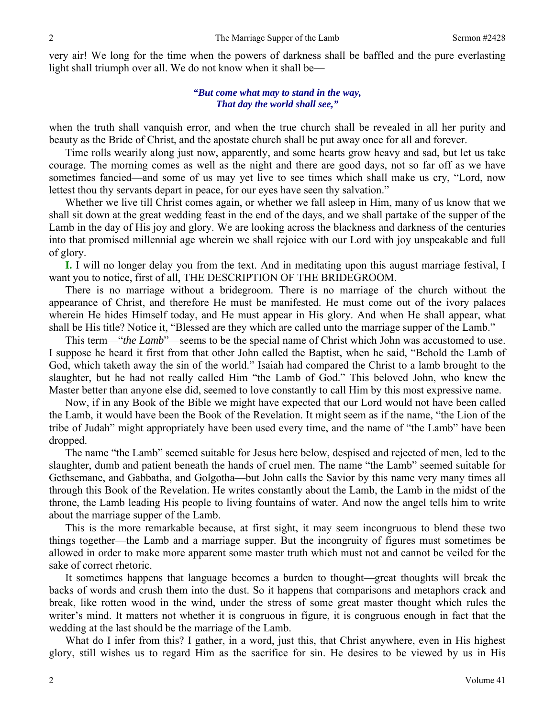very air! We long for the time when the powers of darkness shall be baffled and the pure everlasting light shall triumph over all. We do not know when it shall be—

#### *"But come what may to stand in the way, That day the world shall see,"*

when the truth shall vanquish error, and when the true church shall be revealed in all her purity and beauty as the Bride of Christ, and the apostate church shall be put away once for all and forever.

Time rolls wearily along just now, apparently, and some hearts grow heavy and sad, but let us take courage. The morning comes as well as the night and there are good days, not so far off as we have sometimes fancied—and some of us may yet live to see times which shall make us cry, "Lord, now lettest thou thy servants depart in peace, for our eyes have seen thy salvation."

Whether we live till Christ comes again, or whether we fall asleep in Him, many of us know that we shall sit down at the great wedding feast in the end of the days, and we shall partake of the supper of the Lamb in the day of His joy and glory. We are looking across the blackness and darkness of the centuries into that promised millennial age wherein we shall rejoice with our Lord with joy unspeakable and full of glory.

**I.** I will no longer delay you from the text. And in meditating upon this august marriage festival, I want you to notice, first of all, THE DESCRIPTION OF THE BRIDEGROOM.

There is no marriage without a bridegroom. There is no marriage of the church without the appearance of Christ, and therefore He must be manifested. He must come out of the ivory palaces wherein He hides Himself today, and He must appear in His glory. And when He shall appear, what shall be His title? Notice it, "Blessed are they which are called unto the marriage supper of the Lamb."

This term—"*the Lamb*"—seems to be the special name of Christ which John was accustomed to use. I suppose he heard it first from that other John called the Baptist, when he said, "Behold the Lamb of God, which taketh away the sin of the world." Isaiah had compared the Christ to a lamb brought to the slaughter, but he had not really called Him "the Lamb of God." This beloved John, who knew the Master better than anyone else did, seemed to love constantly to call Him by this most expressive name.

Now, if in any Book of the Bible we might have expected that our Lord would not have been called the Lamb, it would have been the Book of the Revelation. It might seem as if the name, "the Lion of the tribe of Judah" might appropriately have been used every time, and the name of "the Lamb" have been dropped.

The name "the Lamb" seemed suitable for Jesus here below, despised and rejected of men, led to the slaughter, dumb and patient beneath the hands of cruel men. The name "the Lamb" seemed suitable for Gethsemane, and Gabbatha, and Golgotha—but John calls the Savior by this name very many times all through this Book of the Revelation. He writes constantly about the Lamb, the Lamb in the midst of the throne, the Lamb leading His people to living fountains of water. And now the angel tells him to write about the marriage supper of the Lamb.

This is the more remarkable because, at first sight, it may seem incongruous to blend these two things together—the Lamb and a marriage supper. But the incongruity of figures must sometimes be allowed in order to make more apparent some master truth which must not and cannot be veiled for the sake of correct rhetoric.

It sometimes happens that language becomes a burden to thought—great thoughts will break the backs of words and crush them into the dust. So it happens that comparisons and metaphors crack and break, like rotten wood in the wind, under the stress of some great master thought which rules the writer's mind. It matters not whether it is congruous in figure, it is congruous enough in fact that the wedding at the last should be the marriage of the Lamb.

What do I infer from this? I gather, in a word, just this, that Christ anywhere, even in His highest glory, still wishes us to regard Him as the sacrifice for sin. He desires to be viewed by us in His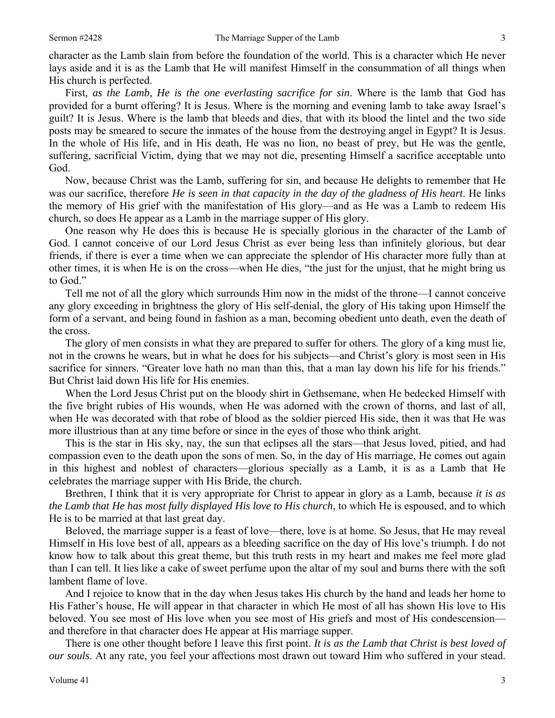character as the Lamb slain from before the foundation of the world. This is a character which He never lays aside and it is as the Lamb that He will manifest Himself in the consummation of all things when His church is perfected.

First*, as the Lamb, He is the one everlasting sacrifice for sin*. Where is the lamb that God has provided for a burnt offering? It is Jesus. Where is the morning and evening lamb to take away Israel's guilt? It is Jesus. Where is the lamb that bleeds and dies, that with its blood the lintel and the two side posts may be smeared to secure the inmates of the house from the destroying angel in Egypt? It is Jesus. In the whole of His life, and in His death, He was no lion, no beast of prey, but He was the gentle, suffering, sacrificial Victim, dying that we may not die, presenting Himself a sacrifice acceptable unto God.

Now, because Christ was the Lamb, suffering for sin, and because He delights to remember that He was our sacrifice, therefore *He is seen in that capacity in the day of the gladness of His heart*. He links the memory of His grief with the manifestation of His glory—and as He was a Lamb to redeem His church, so does He appear as a Lamb in the marriage supper of His glory.

One reason why He does this is because He is specially glorious in the character of the Lamb of God. I cannot conceive of our Lord Jesus Christ as ever being less than infinitely glorious, but dear friends, if there is ever a time when we can appreciate the splendor of His character more fully than at other times, it is when He is on the cross—when He dies, "the just for the unjust, that he might bring us to God."

Tell me not of all the glory which surrounds Him now in the midst of the throne—I cannot conceive any glory exceeding in brightness the glory of His self-denial, the glory of His taking upon Himself the form of a servant, and being found in fashion as a man, becoming obedient unto death, even the death of the cross.

The glory of men consists in what they are prepared to suffer for others. The glory of a king must lie, not in the crowns he wears, but in what he does for his subjects—and Christ's glory is most seen in His sacrifice for sinners. "Greater love hath no man than this, that a man lay down his life for his friends." But Christ laid down His life for His enemies.

When the Lord Jesus Christ put on the bloody shirt in Gethsemane, when He bedecked Himself with the five bright rubies of His wounds, when He was adorned with the crown of thorns, and last of all, when He was decorated with that robe of blood as the soldier pierced His side, then it was that He was more illustrious than at any time before or since in the eyes of those who think aright.

This is the star in His sky, nay, the sun that eclipses all the stars—that Jesus loved, pitied, and had compassion even to the death upon the sons of men. So, in the day of His marriage, He comes out again in this highest and noblest of characters—glorious specially as a Lamb, it is as a Lamb that He celebrates the marriage supper with His Bride, the church.

Brethren, I think that it is very appropriate for Christ to appear in glory as a Lamb, because *it is as the Lamb that He has most fully displayed His love to His church*, to which He is espoused, and to which He is to be married at that last great day.

Beloved, the marriage supper is a feast of love—there, love is at home. So Jesus, that He may reveal Himself in His love best of all, appears as a bleeding sacrifice on the day of His love's triumph. I do not know how to talk about this great theme, but this truth rests in my heart and makes me feel more glad than I can tell. It lies like a cake of sweet perfume upon the altar of my soul and burns there with the soft lambent flame of love.

And I rejoice to know that in the day when Jesus takes His church by the hand and leads her home to His Father's house, He will appear in that character in which He most of all has shown His love to His beloved. You see most of His love when you see most of His griefs and most of His condescension and therefore in that character does He appear at His marriage supper.

There is one other thought before I leave this first point. *It is as the Lamb that Christ is best loved of our souls*. At any rate, you feel your affections most drawn out toward Him who suffered in your stead.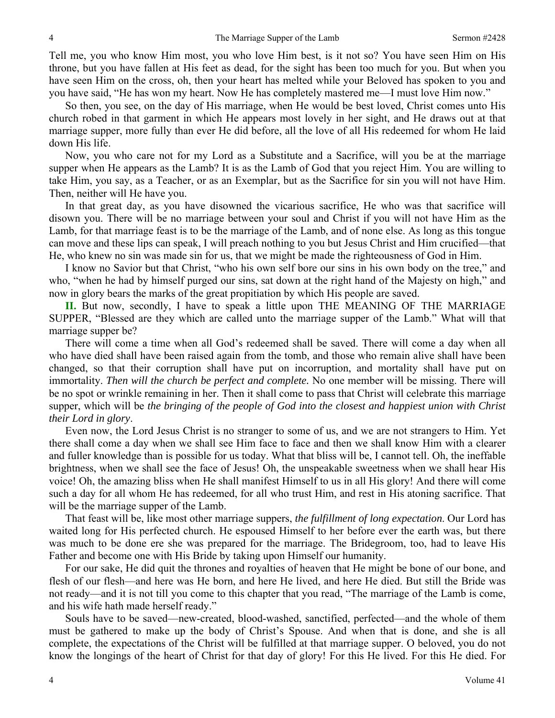Tell me, you who know Him most, you who love Him best, is it not so? You have seen Him on His throne, but you have fallen at His feet as dead, for the sight has been too much for you. But when you have seen Him on the cross, oh, then your heart has melted while your Beloved has spoken to you and you have said, "He has won my heart. Now He has completely mastered me—I must love Him now."

So then, you see, on the day of His marriage, when He would be best loved, Christ comes unto His church robed in that garment in which He appears most lovely in her sight, and He draws out at that marriage supper, more fully than ever He did before, all the love of all His redeemed for whom He laid down His life.

Now, you who care not for my Lord as a Substitute and a Sacrifice, will you be at the marriage supper when He appears as the Lamb? It is as the Lamb of God that you reject Him. You are willing to take Him, you say, as a Teacher, or as an Exemplar, but as the Sacrifice for sin you will not have Him. Then, neither will He have you.

In that great day, as you have disowned the vicarious sacrifice, He who was that sacrifice will disown you. There will be no marriage between your soul and Christ if you will not have Him as the Lamb, for that marriage feast is to be the marriage of the Lamb, and of none else. As long as this tongue can move and these lips can speak, I will preach nothing to you but Jesus Christ and Him crucified—that He, who knew no sin was made sin for us, that we might be made the righteousness of God in Him.

I know no Savior but that Christ, "who his own self bore our sins in his own body on the tree," and who, "when he had by himself purged our sins, sat down at the right hand of the Majesty on high," and now in glory bears the marks of the great propitiation by which His people are saved.

**II.** But now, secondly, I have to speak a little upon THE MEANING OF THE MARRIAGE SUPPER, "Blessed are they which are called unto the marriage supper of the Lamb." What will that marriage supper be?

There will come a time when all God's redeemed shall be saved. There will come a day when all who have died shall have been raised again from the tomb, and those who remain alive shall have been changed, so that their corruption shall have put on incorruption, and mortality shall have put on immortality. *Then will the church be perfect and complete.* No one member will be missing. There will be no spot or wrinkle remaining in her. Then it shall come to pass that Christ will celebrate this marriage supper, which will be *the bringing of the people of God into the closest and happiest union with Christ their Lord in glory*.

Even now, the Lord Jesus Christ is no stranger to some of us, and we are not strangers to Him. Yet there shall come a day when we shall see Him face to face and then we shall know Him with a clearer and fuller knowledge than is possible for us today. What that bliss will be, I cannot tell. Oh, the ineffable brightness, when we shall see the face of Jesus! Oh, the unspeakable sweetness when we shall hear His voice! Oh, the amazing bliss when He shall manifest Himself to us in all His glory! And there will come such a day for all whom He has redeemed, for all who trust Him, and rest in His atoning sacrifice. That will be the marriage supper of the Lamb.

That feast will be, like most other marriage suppers, *the fulfillment of long expectation*. Our Lord has waited long for His perfected church. He espoused Himself to her before ever the earth was, but there was much to be done ere she was prepared for the marriage. The Bridegroom, too, had to leave His Father and become one with His Bride by taking upon Himself our humanity.

For our sake, He did quit the thrones and royalties of heaven that He might be bone of our bone, and flesh of our flesh—and here was He born, and here He lived, and here He died. But still the Bride was not ready—and it is not till you come to this chapter that you read, "The marriage of the Lamb is come, and his wife hath made herself ready."

Souls have to be saved—new-created, blood-washed, sanctified, perfected—and the whole of them must be gathered to make up the body of Christ's Spouse. And when that is done, and she is all complete, the expectations of the Christ will be fulfilled at that marriage supper. O beloved, you do not know the longings of the heart of Christ for that day of glory! For this He lived. For this He died. For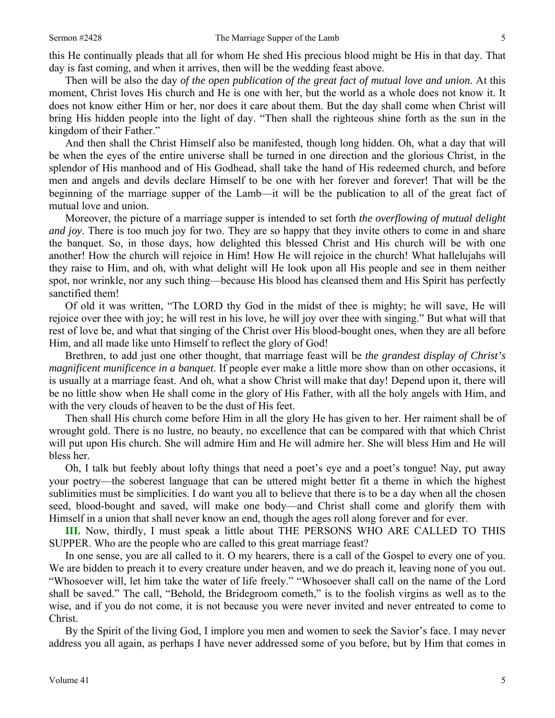this He continually pleads that all for whom He shed His precious blood might be His in that day. That day is fast coming, and when it arrives, then will be the wedding feast above.

Then will be also the day *of the open publication of the great fact of mutual love and union*. At this moment, Christ loves His church and He is one with her, but the world as a whole does not know it. It does not know either Him or her, nor does it care about them. But the day shall come when Christ will bring His hidden people into the light of day. "Then shall the righteous shine forth as the sun in the kingdom of their Father."

And then shall the Christ Himself also be manifested, though long hidden. Oh, what a day that will be when the eyes of the entire universe shall be turned in one direction and the glorious Christ, in the splendor of His manhood and of His Godhead, shall take the hand of His redeemed church, and before men and angels and devils declare Himself to be one with her forever and forever! That will be the beginning of the marriage supper of the Lamb—it will be the publication to all of the great fact of mutual love and union.

Moreover, the picture of a marriage supper is intended to set forth *the overflowing of mutual delight and joy*. There is too much joy for two. They are so happy that they invite others to come in and share the banquet. So, in those days, how delighted this blessed Christ and His church will be with one another! How the church will rejoice in Him! How He will rejoice in the church! What hallelujahs will they raise to Him, and oh, with what delight will He look upon all His people and see in them neither spot, nor wrinkle, nor any such thing—because His blood has cleansed them and His Spirit has perfectly sanctified them!

Of old it was written, "The LORD thy God in the midst of thee is mighty; he will save, He will rejoice over thee with joy; he will rest in his love, he will joy over thee with singing." But what will that rest of love be, and what that singing of the Christ over His blood-bought ones, when they are all before Him, and all made like unto Himself to reflect the glory of God!

Brethren, to add just one other thought, that marriage feast will be *the grandest display of Christ's magnificent munificence in a banquet*. If people ever make a little more show than on other occasions, it is usually at a marriage feast. And oh, what a show Christ will make that day! Depend upon it, there will be no little show when He shall come in the glory of His Father, with all the holy angels with Him, and with the very clouds of heaven to be the dust of His feet.

Then shall His church come before Him in all the glory He has given to her. Her raiment shall be of wrought gold. There is no lustre, no beauty, no excellence that can be compared with that which Christ will put upon His church. She will admire Him and He will admire her. She will bless Him and He will bless her.

Oh, I talk but feebly about lofty things that need a poet's eye and a poet's tongue! Nay, put away your poetry—the soberest language that can be uttered might better fit a theme in which the highest sublimities must be simplicities. I do want you all to believe that there is to be a day when all the chosen seed, blood-bought and saved, will make one body—and Christ shall come and glorify them with Himself in a union that shall never know an end, though the ages roll along forever and for ever.

**III.** Now, thirdly, I must speak a little about THE PERSONS WHO ARE CALLED TO THIS SUPPER. Who are the people who are called to this great marriage feast?

In one sense, you are all called to it. O my hearers, there is a call of the Gospel to every one of you. We are bidden to preach it to every creature under heaven, and we do preach it, leaving none of you out. "Whosoever will, let him take the water of life freely." "Whosoever shall call on the name of the Lord shall be saved." The call, "Behold, the Bridegroom cometh," is to the foolish virgins as well as to the wise, and if you do not come, it is not because you were never invited and never entreated to come to Christ.

By the Spirit of the living God, I implore you men and women to seek the Savior's face. I may never address you all again, as perhaps I have never addressed some of you before, but by Him that comes in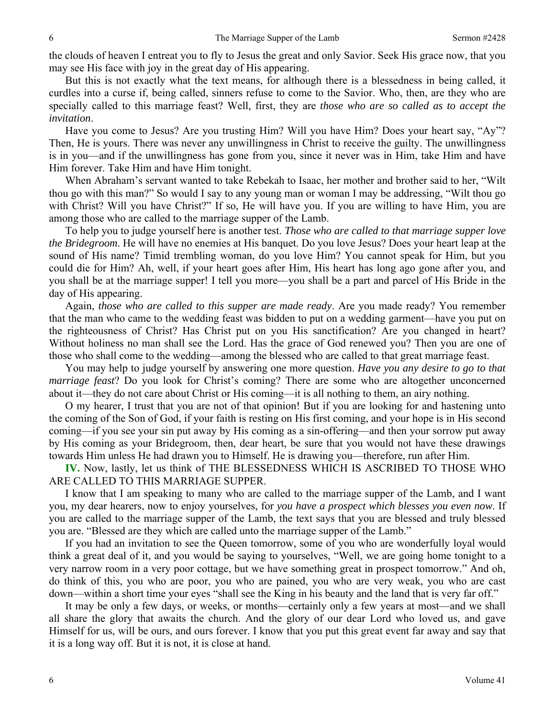the clouds of heaven I entreat you to fly to Jesus the great and only Savior. Seek His grace now, that you may see His face with joy in the great day of His appearing.

But this is not exactly what the text means, for although there is a blessedness in being called, it curdles into a curse if, being called, sinners refuse to come to the Savior. Who, then, are they who are specially called to this marriage feast? Well, first, they are *those who are so called as to accept the invitation*.

Have you come to Jesus? Are you trusting Him? Will you have Him? Does your heart say, "Ay"? Then, He is yours. There was never any unwillingness in Christ to receive the guilty. The unwillingness is in you—and if the unwillingness has gone from you, since it never was in Him, take Him and have Him forever. Take Him and have Him tonight.

When Abraham's servant wanted to take Rebekah to Isaac, her mother and brother said to her, "Wilt thou go with this man?" So would I say to any young man or woman I may be addressing, "Wilt thou go with Christ? Will you have Christ?" If so, He will have you. If you are willing to have Him, you are among those who are called to the marriage supper of the Lamb.

To help you to judge yourself here is another test. *Those who are called to that marriage supper love the Bridegroom*. He will have no enemies at His banquet. Do you love Jesus? Does your heart leap at the sound of His name? Timid trembling woman, do you love Him? You cannot speak for Him, but you could die for Him? Ah, well, if your heart goes after Him, His heart has long ago gone after you, and you shall be at the marriage supper! I tell you more—you shall be a part and parcel of His Bride in the day of His appearing.

Again, *those who are called to this supper are made ready*. Are you made ready? You remember that the man who came to the wedding feast was bidden to put on a wedding garment—have you put on the righteousness of Christ? Has Christ put on you His sanctification? Are you changed in heart? Without holiness no man shall see the Lord. Has the grace of God renewed you? Then you are one of those who shall come to the wedding—among the blessed who are called to that great marriage feast.

You may help to judge yourself by answering one more question. *Have you any desire to go to that marriage feast*? Do you look for Christ's coming? There are some who are altogether unconcerned about it—they do not care about Christ or His coming—it is all nothing to them, an airy nothing.

O my hearer, I trust that you are not of that opinion! But if you are looking for and hastening unto the coming of the Son of God, if your faith is resting on His first coming, and your hope is in His second coming—if you see your sin put away by His coming as a sin-offering—and then your sorrow put away by His coming as your Bridegroom, then, dear heart, be sure that you would not have these drawings towards Him unless He had drawn you to Himself. He is drawing you—therefore, run after Him.

**IV.** Now, lastly, let us think of THE BLESSEDNESS WHICH IS ASCRIBED TO THOSE WHO ARE CALLED TO THIS MARRIAGE SUPPER.

I know that I am speaking to many who are called to the marriage supper of the Lamb, and I want you, my dear hearers, now to enjoy yourselves, for *you have a prospect which blesses you even now*. If you are called to the marriage supper of the Lamb, the text says that you are blessed and truly blessed you are. "Blessed are they which are called unto the marriage supper of the Lamb."

If you had an invitation to see the Queen tomorrow, some of you who are wonderfully loyal would think a great deal of it, and you would be saying to yourselves, "Well, we are going home tonight to a very narrow room in a very poor cottage, but we have something great in prospect tomorrow." And oh, do think of this, you who are poor, you who are pained, you who are very weak, you who are cast down—within a short time your eyes "shall see the King in his beauty and the land that is very far off."

It may be only a few days, or weeks, or months—certainly only a few years at most—and we shall all share the glory that awaits the church. And the glory of our dear Lord who loved us, and gave Himself for us, will be ours, and ours forever. I know that you put this great event far away and say that it is a long way off. But it is not, it is close at hand.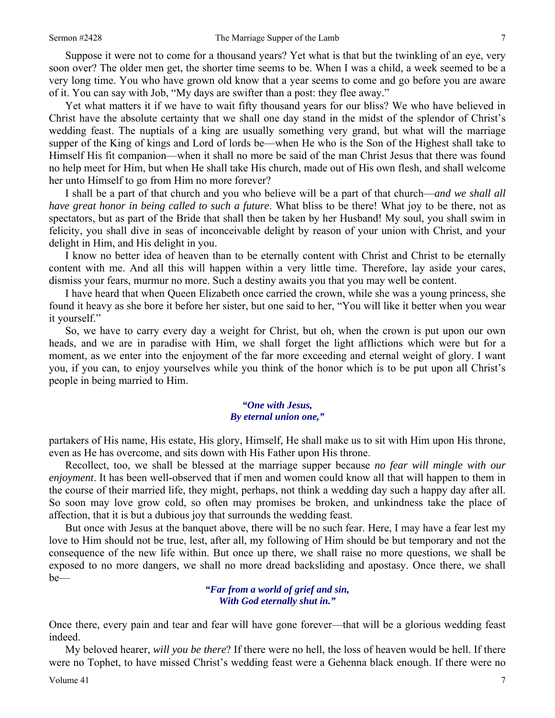Suppose it were not to come for a thousand years? Yet what is that but the twinkling of an eye, very soon over? The older men get, the shorter time seems to be. When I was a child, a week seemed to be a very long time. You who have grown old know that a year seems to come and go before you are aware of it. You can say with Job, "My days are swifter than a post: they flee away."

Yet what matters it if we have to wait fifty thousand years for our bliss? We who have believed in Christ have the absolute certainty that we shall one day stand in the midst of the splendor of Christ's wedding feast. The nuptials of a king are usually something very grand, but what will the marriage supper of the King of kings and Lord of lords be—when He who is the Son of the Highest shall take to Himself His fit companion—when it shall no more be said of the man Christ Jesus that there was found no help meet for Him, but when He shall take His church, made out of His own flesh, and shall welcome her unto Himself to go from Him no more forever?

I shall be a part of that church and you who believe will be a part of that church—*and we shall all have great honor in being called to such a future*. What bliss to be there! What joy to be there, not as spectators, but as part of the Bride that shall then be taken by her Husband! My soul, you shall swim in felicity, you shall dive in seas of inconceivable delight by reason of your union with Christ, and your delight in Him, and His delight in you.

I know no better idea of heaven than to be eternally content with Christ and Christ to be eternally content with me. And all this will happen within a very little time. Therefore, lay aside your cares, dismiss your fears, murmur no more. Such a destiny awaits you that you may well be content.

I have heard that when Queen Elizabeth once carried the crown, while she was a young princess, she found it heavy as she bore it before her sister, but one said to her, "You will like it better when you wear it yourself."

So, we have to carry every day a weight for Christ, but oh, when the crown is put upon our own heads, and we are in paradise with Him, we shall forget the light afflictions which were but for a moment, as we enter into the enjoyment of the far more exceeding and eternal weight of glory. I want you, if you can, to enjoy yourselves while you think of the honor which is to be put upon all Christ's people in being married to Him.

#### *"One with Jesus, By eternal union one,"*

partakers of His name, His estate, His glory, Himself, He shall make us to sit with Him upon His throne, even as He has overcome, and sits down with His Father upon His throne.

Recollect, too, we shall be blessed at the marriage supper because *no fear will mingle with our enjoyment*. It has been well-observed that if men and women could know all that will happen to them in the course of their married life, they might, perhaps, not think a wedding day such a happy day after all. So soon may love grow cold, so often may promises be broken, and unkindness take the place of affection, that it is but a dubious joy that surrounds the wedding feast.

But once with Jesus at the banquet above, there will be no such fear. Here, I may have a fear lest my love to Him should not be true, lest, after all, my following of Him should be but temporary and not the consequence of the new life within. But once up there, we shall raise no more questions, we shall be exposed to no more dangers, we shall no more dread backsliding and apostasy. Once there, we shall be—

> *"Far from a world of grief and sin, With God eternally shut in."*

Once there, every pain and tear and fear will have gone forever—that will be a glorious wedding feast indeed.

My beloved hearer, *will you be there*? If there were no hell, the loss of heaven would be hell. If there were no Tophet, to have missed Christ's wedding feast were a Gehenna black enough. If there were no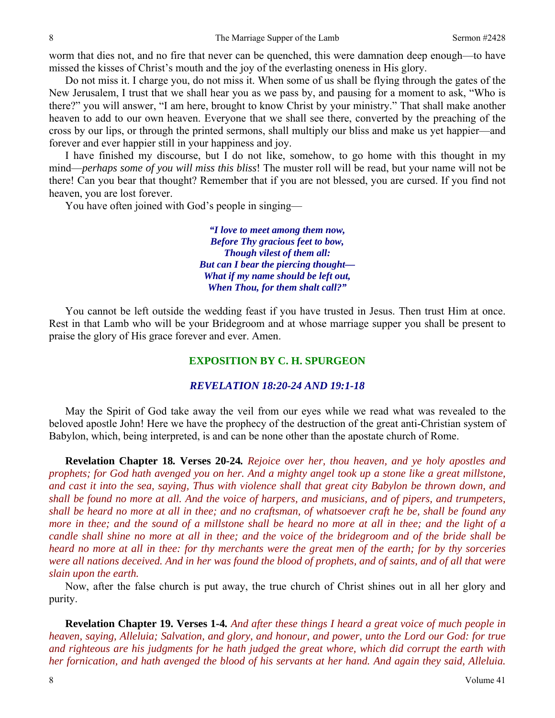worm that dies not, and no fire that never can be quenched, this were damnation deep enough—to have missed the kisses of Christ's mouth and the joy of the everlasting oneness in His glory.

Do not miss it. I charge you, do not miss it. When some of us shall be flying through the gates of the New Jerusalem, I trust that we shall hear you as we pass by, and pausing for a moment to ask, "Who is there?" you will answer, "I am here, brought to know Christ by your ministry." That shall make another heaven to add to our own heaven. Everyone that we shall see there, converted by the preaching of the cross by our lips, or through the printed sermons, shall multiply our bliss and make us yet happier—and forever and ever happier still in your happiness and joy.

I have finished my discourse, but I do not like, somehow, to go home with this thought in my mind—*perhaps some of you will miss this bliss*! The muster roll will be read, but your name will not be there! Can you bear that thought? Remember that if you are not blessed, you are cursed. If you find not heaven, you are lost forever.

You have often joined with God's people in singing—

*"I love to meet among them now, Before Thy gracious feet to bow, Though vilest of them all: But can I bear the piercing thought— What if my name should be left out, When Thou, for them shalt call?"* 

You cannot be left outside the wedding feast if you have trusted in Jesus. Then trust Him at once. Rest in that Lamb who will be your Bridegroom and at whose marriage supper you shall be present to praise the glory of His grace forever and ever. Amen.

## **EXPOSITION BY C. H. SPURGEON**

### *REVELATION 18:20-24 AND 19:1-18*

May the Spirit of God take away the veil from our eyes while we read what was revealed to the beloved apostle John! Here we have the prophecy of the destruction of the great anti-Christian system of Babylon, which, being interpreted, is and can be none other than the apostate church of Rome.

**Revelation Chapter 18***.* **Verses 20***-***24***. Rejoice over her, thou heaven, and ye holy apostles and prophets; for God hath avenged you on her. And a mighty angel took up a stone like a great millstone, and cast it into the sea, saying, Thus with violence shall that great city Babylon be thrown down, and shall be found no more at all. And the voice of harpers, and musicians, and of pipers, and trumpeters, shall be heard no more at all in thee; and no craftsman, of whatsoever craft he be, shall be found any more in thee; and the sound of a millstone shall be heard no more at all in thee; and the light of a candle shall shine no more at all in thee; and the voice of the bridegroom and of the bride shall be heard no more at all in thee: for thy merchants were the great men of the earth; for by thy sorceries were all nations deceived. And in her was found the blood of prophets, and of saints, and of all that were slain upon the earth.* 

Now, after the false church is put away, the true church of Christ shines out in all her glory and purity.

**Revelation Chapter 19. Verses 1***-***4***. And after these things I heard a great voice of much people in heaven, saying, Alleluia; Salvation, and glory, and honour, and power, unto the Lord our God: for true and righteous are his judgments for he hath judged the great whore, which did corrupt the earth with her fornication, and hath avenged the blood of his servants at her hand. And again they said, Alleluia.*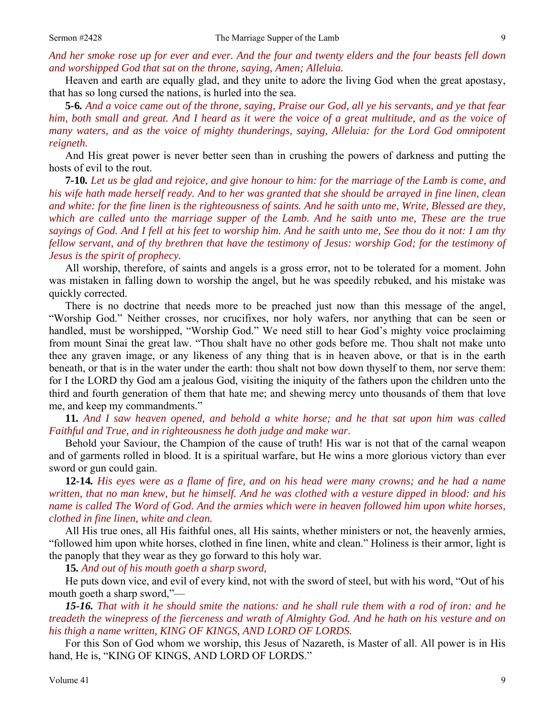*And her smoke rose up for ever and ever. And the four and twenty elders and the four beasts fell down and worshipped God that sat on the throne, saying, Amen; Alleluia.*

Heaven and earth are equally glad, and they unite to adore the living God when the great apostasy, that has so long cursed the nations, is hurled into the sea.

**5***-***6***. And a voice came out of the throne, saying, Praise our God, all ye his servants, and ye that fear him, both small and great. And I heard as it were the voice of a great multitude, and as the voice of many waters, and as the voice of mighty thunderings, saying, Alleluia: for the Lord God omnipotent reigneth.*

And His great power is never better seen than in crushing the powers of darkness and putting the hosts of evil to the rout.

**7***-***10***. Let us be glad and rejoice, and give honour to him: for the marriage of the Lamb is come, and his wife hath made herself ready. And to her was granted that she should be arrayed in fine linen, clean and white: for the fine linen is the righteousness of saints. And he saith unto me, Write, Blessed are they, which are called unto the marriage supper of the Lamb. And he saith unto me, These are the true sayings of God. And I fell at his feet to worship him. And he saith unto me, See thou do it not: I am thy fellow servant, and of thy brethren that have the testimony of Jesus: worship God; for the testimony of Jesus is the spirit of prophecy.*

All worship, therefore, of saints and angels is a gross error, not to be tolerated for a moment. John was mistaken in falling down to worship the angel, but he was speedily rebuked, and his mistake was quickly corrected.

There is no doctrine that needs more to be preached just now than this message of the angel, "Worship God." Neither crosses, nor crucifixes, nor holy wafers, nor anything that can be seen or handled, must be worshipped, "Worship God." We need still to hear God's mighty voice proclaiming from mount Sinai the great law. "Thou shalt have no other gods before me. Thou shalt not make unto thee any graven image, or any likeness of any thing that is in heaven above, or that is in the earth beneath, or that is in the water under the earth: thou shalt not bow down thyself to them, nor serve them: for I the LORD thy God am a jealous God, visiting the iniquity of the fathers upon the children unto the third and fourth generation of them that hate me; and shewing mercy unto thousands of them that love me, and keep my commandments."

**11***. And I saw heaven opened, and behold a white horse; and he that sat upon him was called Faithful and True, and in righteousness he doth judge and make war.*

Behold your Saviour, the Champion of the cause of truth! His war is not that of the carnal weapon and of garments rolled in blood. It is a spiritual warfare, but He wins a more glorious victory than ever sword or gun could gain.

**12***-***14***. His eyes were as a flame of fire, and on his head were many crowns; and he had a name written, that no man knew, but he himself. And he was clothed with a vesture dipped in blood: and his name is called The Word of God. And the armies which were in heaven followed him upon white horses, clothed in fine linen, white and clean.*

All His true ones, all His faithful ones, all His saints, whether ministers or not, the heavenly armies, "followed him upon white horses, clothed in fine linen, white and clean." Holiness is their armor, light is the panoply that they wear as they go forward to this holy war.

**15***. And out of his mouth goeth a sharp sword,* 

He puts down vice, and evil of every kind, not with the sword of steel, but with his word, "Out of his mouth goeth a sharp sword,"—

*15-16. That with it he should smite the nations: and he shall rule them with a rod of iron: and he treadeth the winepress of the fierceness and wrath of Almighty God. And he hath on his vesture and on his thigh a name written, KING OF KINGS, AND LORD OF LORDS.*

For this Son of God whom we worship, this Jesus of Nazareth, is Master of all. All power is in His hand, He is, "KING OF KINGS, AND LORD OF LORDS."